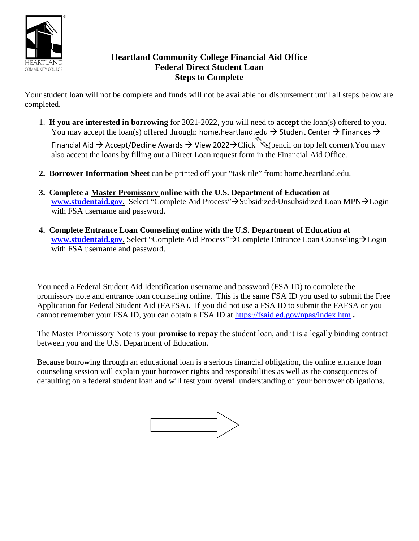

## **Heartland Community College Financial Aid Office Federal Direct Student Loan Steps to Complete**

Your student loan will not be complete and funds will not be available for disbursement until all steps below are completed.

1. **If you are interested in borrowing** for 2021-2022, you will need to **accept** the loan(s) offered to you. You may accept the loan(s) offered through: home.heartland.edu  $\rightarrow$  Student Center  $\rightarrow$  Finances  $\rightarrow$ 

Financial Aid  $\rightarrow$  Accept/Decline Awards  $\rightarrow$  View 2022 $\rightarrow$ Click  $\mathcal{L}$  (pencil on top left corner).You may also accept the loans by filling out a Direct Loan request form in the Financial Aid Office.

- **2. Borrower Information Sheet** can be printed off your "task tile" from: home.heartland.edu.
- **3. Complete a Master Promissory online with the U.S. Department of Education at** [www.studentaid.gov](http://www.studentaid.gov/). Select "Complete Aid Process">Subsidized/Unsubsidized Loan MPN>Login with FSA username and password.
- **4. Complete Entrance Loan Counseling online with the U.S. Department of Education at [www.studentaid.gov](http://www.studentaid.gov/)**. Select "Complete Aid Process">Complete Entrance Loan Counseling>Login with FSA username and password.

You need a Federal Student Aid Identification username and password (FSA ID) to complete the promissory note and entrance loan counseling online. This is the same FSA ID you used to submit the Free Application for Federal Student Aid (FAFSA). If you did not use a FSA ID to submit the FAFSA or you cannot remember your FSA ID, you can obtain a FSA ID at<https://fsaid.ed.gov/npas/index.htm> **.**

The Master Promissory Note is your **promise to repay** the student loan, and it is a legally binding contract between you and the U.S. Department of Education.

Because borrowing through an educational loan is a serious financial obligation, the online entrance loan counseling session will explain your borrower rights and responsibilities as well as the consequences of defaulting on a federal student loan and will test your overall understanding of your borrower obligations.

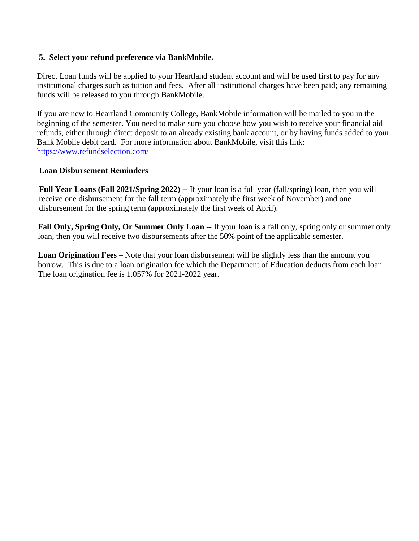## **5. Select your refund preference via BankMobile.**

Direct Loan funds will be applied to your Heartland student account and will be used first to pay for any institutional charges such as tuition and fees. After all institutional charges have been paid; any remaining funds will be released to you through BankMobile.

If you are new to Heartland Community College, BankMobile information will be mailed to you in the beginning of the semester. You need to make sure you choose how you wish to receive your financial aid refunds, either through direct deposit to an already existing bank account, or by having funds added to your Bank Mobile debit card. For more information about BankMobile, visit this link: <https://www.refundselection.com/>

## **Loan Disbursement Reminders**

**Full Year Loans (Fall 2021/Spring 2022) --** If your loan is a full year (fall/spring) loan, then you will receive one disbursement for the fall term (approximately the first week of November) and one disbursement for the spring term (approximately the first week of April).

**Fall Only, Spring Only, Or Summer Only Loan** -- If your loan is a fall only, spring only or summer only loan, then you will receive two disbursements after the 50% point of the applicable semester.

**Loan Origination Fees** – Note that your loan disbursement will be slightly less than the amount you borrow. This is due to a loan origination fee which the Department of Education deducts from each loan. The loan origination fee is 1.057% for 2021-2022 year.